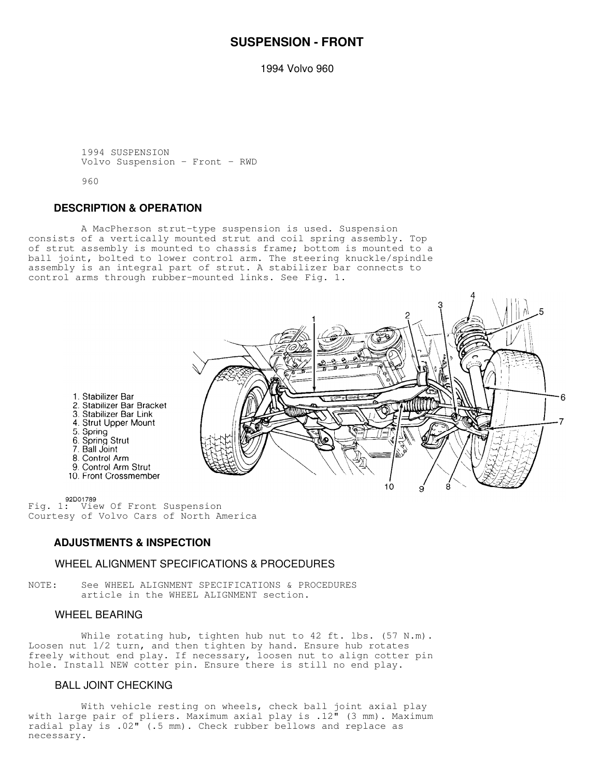# **SUSPENSION - FRONT**

1994 Volvo 960

 1994 SUSPENSION Volvo Suspension - Front - RWD

960

## **DESCRIPTION & OPERATION**

 A MacPherson strut-type suspension is used. Suspension consists of a vertically mounted strut and coil spring assembly. Top of strut assembly is mounted to chassis frame; bottom is mounted to a ball joint, bolted to lower control arm. The steering knuckle/spindle assembly is an integral part of strut. A stabilizer bar connects to control arms through rubber-mounted links. See Fig. 1.



1. Stabilizer Bar 2. Stabilizer Bar Bracket 3. Stabilizer Bar Link 4. Strut Upper Mount 5. Spring 6. Spring<br>5. Spring Strut<br>7. Ball Joint 8. Control Arm 9. Control Arm Strut 10. Front Crossmember

92D01789<br>Fig. 1: View Of Front Suspension Courtesy of Volvo Cars of North America

# **ADJUSTMENTS & INSPECTION**

### WHEEL ALIGNMENT SPECIFICATIONS & PROCEDURES

NOTE: See WHEEL ALIGNMENT SPECIFICATIONS & PROCEDURES article in the WHEEL ALIGNMENT section.

### WHEEL BEARING

While rotating hub, tighten hub nut to 42 ft. lbs. (57 N.m). Loosen nut 1/2 turn, and then tighten by hand. Ensure hub rotates freely without end play. If necessary, loosen nut to align cotter pin hole. Install NEW cotter pin. Ensure there is still no end play.

# BALL JOINT CHECKING

 With vehicle resting on wheels, check ball joint axial play with large pair of pliers. Maximum axial play is .12" (3 mm). Maximum radial play is .02" (.5 mm). Check rubber bellows and replace as necessary.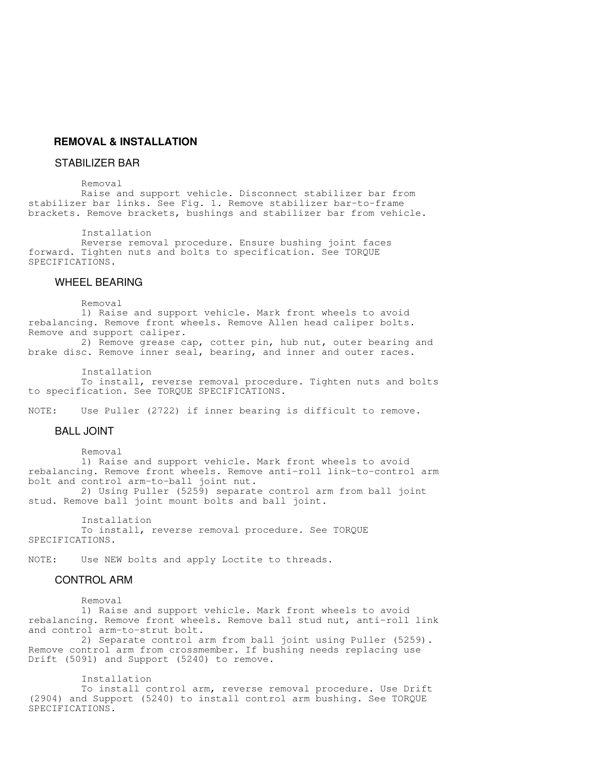# **REMOVAL & INSTALLATION**

#### STABILIZER BAR

Removal

 Raise and support vehicle. Disconnect stabilizer bar from stabilizer bar links. See Fig. 1. Remove stabilizer bar-to-frame brackets. Remove brackets, bushings and stabilizer bar from vehicle.

Installation

 Reverse removal procedure. Ensure bushing joint faces forward. Tighten nuts and bolts to specification. See TORQUE SPECIFICATIONS.

#### WHEEL BEARING

Removal

 1) Raise and support vehicle. Mark front wheels to avoid rebalancing. Remove front wheels. Remove Allen head caliper bolts. Remove and support caliper.

 2) Remove grease cap, cotter pin, hub nut, outer bearing and brake disc. Remove inner seal, bearing, and inner and outer races.

 Installation To install, reverse removal procedure. Tighten nuts and bolts to specification. See TORQUE SPECIFICATIONS.

NOTE: Use Puller (2722) if inner bearing is difficult to remove.

#### BALL JOINT

Removal

 1) Raise and support vehicle. Mark front wheels to avoid rebalancing. Remove front wheels. Remove anti-roll link-to-control arm bolt and control arm-to-ball joint nut. 2) Using Puller (5259) separate control arm from ball joint

stud. Remove ball joint mount bolts and ball joint.

 Installation To install, reverse removal procedure. See TORQUE SPECIFICATIONS.

NOTE: Use NEW bolts and apply Loctite to threads.

#### CONTROL ARM

Removal

 1) Raise and support vehicle. Mark front wheels to avoid rebalancing. Remove front wheels. Remove ball stud nut, anti-roll link and control arm-to-strut bolt.

 2) Separate control arm from ball joint using Puller (5259). Remove control arm from crossmember. If bushing needs replacing use Drift (5091) and Support (5240) to remove.

Installation

 To install control arm, reverse removal procedure. Use Drift (2904) and Support (5240) to install control arm bushing. See TORQUE SPECIFICATIONS.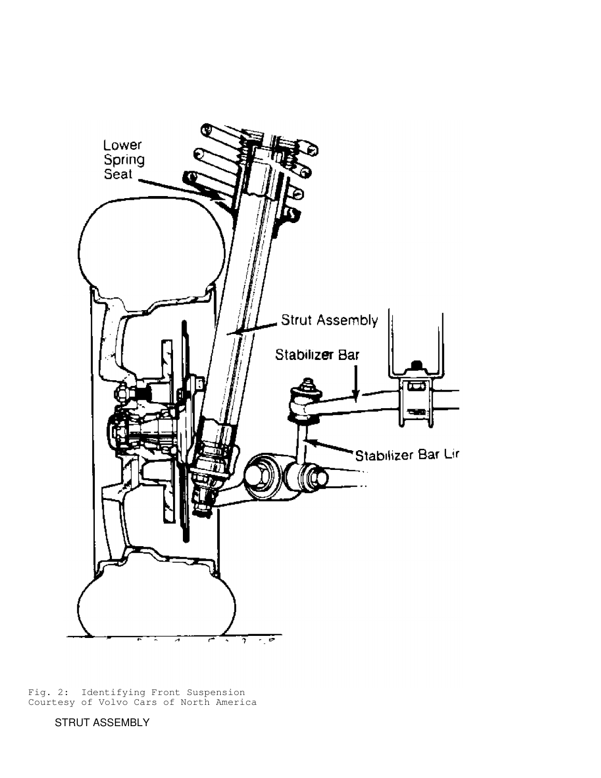

Fig. 2: Identifying Front Suspension Courtesy of Volvo Cars of North America

STRUT ASSEMBLY